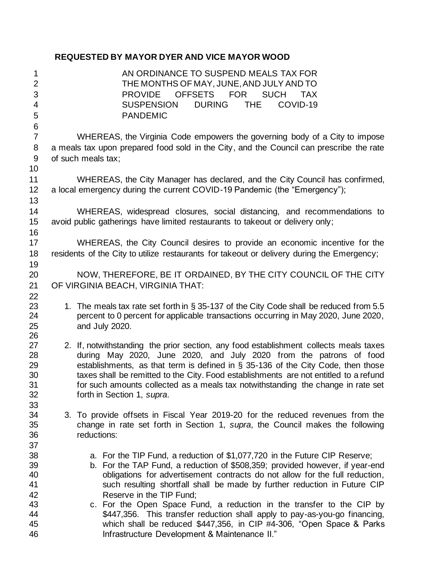## **REQUESTED BY MAYOR DYER AND VICE MAYOR WOOD**

| 1                       | AN ORDINANCE TO SUSPEND MEALS TAX FOR                                                      |
|-------------------------|--------------------------------------------------------------------------------------------|
| $\overline{c}$          | THE MONTHS OF MAY, JUNE, AND JULY AND TO                                                   |
| 3                       | <b>OFFSETS</b><br><b>FOR</b><br><b>SUCH</b><br><b>PROVIDE</b><br><b>TAX</b>                |
| 4                       | <b>SUSPENSION</b><br><b>DURING</b><br><b>THE</b><br>COVID-19                               |
| 5                       | <b>PANDEMIC</b>                                                                            |
| $\,6$<br>$\overline{7}$ | WHEREAS, the Virginia Code empowers the governing body of a City to impose                 |
| 8                       | a meals tax upon prepared food sold in the City, and the Council can prescribe the rate    |
| 9                       | of such meals tax;                                                                         |
| 10                      |                                                                                            |
| 11                      | WHEREAS, the City Manager has declared, and the City Council has confirmed,                |
| 12                      | a local emergency during the current COVID-19 Pandemic (the "Emergency");                  |
| 13                      |                                                                                            |
| 14                      | WHEREAS, widespread closures, social distancing, and recommendations to                    |
| 15                      | avoid public gatherings have limited restaurants to takeout or delivery only;              |
| 16                      |                                                                                            |
| 17                      | WHEREAS, the City Council desires to provide an economic incentive for the                 |
| 18                      | residents of the City to utilize restaurants for takeout or delivery during the Emergency; |
| 19                      |                                                                                            |
| 20                      | NOW, THEREFORE, BE IT ORDAINED, BY THE CITY COUNCIL OF THE CITY                            |
| 21                      | OF VIRGINIA BEACH, VIRGINIA THAT:                                                          |
| 22                      |                                                                                            |
| 23                      | 1. The meals tax rate set forth in § 35-137 of the City Code shall be reduced from 5.5     |
| 24                      | percent to 0 percent for applicable transactions occurring in May 2020, June 2020,         |
| 25                      | and July 2020.                                                                             |
| 26<br>27                | 2. If, notwithstanding the prior section, any food establishment collects meals taxes      |
| 28                      | during May 2020, June 2020, and July 2020 from the patrons of food                         |
| 29                      | establishments, as that term is defined in § 35-136 of the City Code, then those           |
| 30                      | taxes shall be remitted to the City. Food establishments are not entitled to a refund      |
| 31                      | for such amounts collected as a meals tax notwithstanding the change in rate set           |
| 32                      | forth in Section 1, supra.                                                                 |
| 33                      |                                                                                            |
| 34                      | 3. To provide offsets in Fiscal Year 2019-20 for the reduced revenues from the             |
| 35                      | change in rate set forth in Section 1, supra, the Council makes the following              |
| 36                      | reductions:                                                                                |
| 37                      |                                                                                            |
| 38                      | a. For the TIP Fund, a reduction of \$1,077,720 in the Future CIP Reserve;                 |
| 39                      | b. For the TAP Fund, a reduction of \$508,359; provided however, if year-end               |
| 40                      | obligations for advertisement contracts do not allow for the full reduction,               |
| 41                      | such resulting shortfall shall be made by further reduction in Future CIP                  |
| 42                      | Reserve in the TIP Fund;                                                                   |
| 43                      | c. For the Open Space Fund, a reduction in the transfer to the CIP by                      |
| 44                      | \$447,356. This transfer reduction shall apply to pay-as-you-go financing,                 |
| 45                      | which shall be reduced \$447,356, in CIP #4-306, "Open Space & Parks                       |
| 46                      | Infrastructure Development & Maintenance II."                                              |